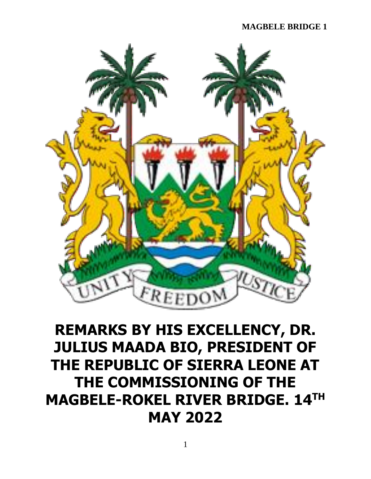

## **REMARKS BY HIS EXCELLENCY, DR. JULIUS MAADA BIO, PRESIDENT OF THE REPUBLIC OF SIERRA LEONE AT THE COMMISSIONING OF THE MAGBELE-ROKEL RIVER BRIDGE. 14TH MAY 2022**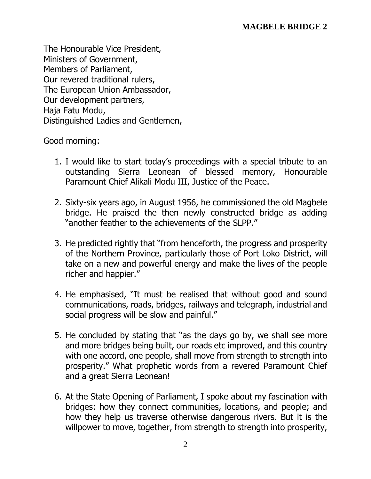The Honourable Vice President, Ministers of Government, Members of Parliament, Our revered traditional rulers, The European Union Ambassador, Our development partners, Haja Fatu Modu, Distinguished Ladies and Gentlemen,

Good morning:

- 1. I would like to start today's proceedings with a special tribute to an outstanding Sierra Leonean of blessed memory, Honourable Paramount Chief Alikali Modu III, Justice of the Peace.
- 2. Sixty-six years ago, in August 1956, he commissioned the old Magbele bridge. He praised the then newly constructed bridge as adding "another feather to the achievements of the SLPP."
- 3. He predicted rightly that "from henceforth, the progress and prosperity of the Northern Province, particularly those of Port Loko District, will take on a new and powerful energy and make the lives of the people richer and happier."
- 4. He emphasised, "It must be realised that without good and sound communications, roads, bridges, railways and telegraph, industrial and social progress will be slow and painful."
- 5. He concluded by stating that "as the days go by, we shall see more and more bridges being built, our roads etc improved, and this country with one accord, one people, shall move from strength to strength into prosperity." What prophetic words from a revered Paramount Chief and a great Sierra Leonean!
- 6. At the State Opening of Parliament, I spoke about my fascination with bridges: how they connect communities, locations, and people; and how they help us traverse otherwise dangerous rivers. But it is the willpower to move, together, from strength to strength into prosperity,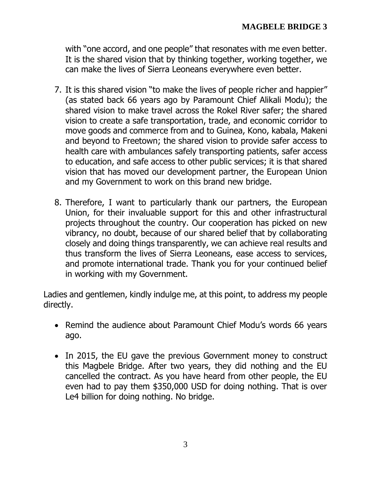with "one accord, and one people" that resonates with me even better. It is the shared vision that by thinking together, working together, we can make the lives of Sierra Leoneans everywhere even better.

- 7. It is this shared vision "to make the lives of people richer and happier" (as stated back 66 years ago by Paramount Chief Alikali Modu); the shared vision to make travel across the Rokel River safer; the shared vision to create a safe transportation, trade, and economic corridor to move goods and commerce from and to Guinea, Kono, kabala, Makeni and beyond to Freetown; the shared vision to provide safer access to health care with ambulances safely transporting patients, safer access to education, and safe access to other public services; it is that shared vision that has moved our development partner, the European Union and my Government to work on this brand new bridge.
- 8. Therefore, I want to particularly thank our partners, the European Union, for their invaluable support for this and other infrastructural projects throughout the country. Our cooperation has picked on new vibrancy, no doubt, because of our shared belief that by collaborating closely and doing things transparently, we can achieve real results and thus transform the lives of Sierra Leoneans, ease access to services, and promote international trade. Thank you for your continued belief in working with my Government.

Ladies and gentlemen, kindly indulge me, at this point, to address my people directly.

- Remind the audience about Paramount Chief Modu's words 66 years ago.
- In 2015, the EU gave the previous Government money to construct this Magbele Bridge. After two years, they did nothing and the EU cancelled the contract. As you have heard from other people, the EU even had to pay them \$350,000 USD for doing nothing. That is over Le4 billion for doing nothing. No bridge.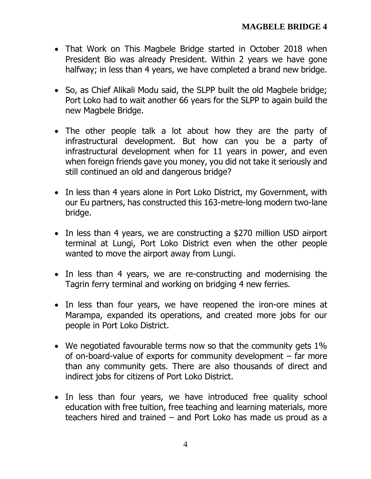- That Work on This Magbele Bridge started in October 2018 when President Bio was already President. Within 2 years we have gone halfway; in less than 4 years, we have completed a brand new bridge.
- So, as Chief Alikali Modu said, the SLPP built the old Magbele bridge; Port Loko had to wait another 66 years for the SLPP to again build the new Magbele Bridge.
- The other people talk a lot about how they are the party of infrastructural development. But how can you be a party of infrastructural development when for 11 years in power, and even when foreign friends gave you money, you did not take it seriously and still continued an old and dangerous bridge?
- In less than 4 years alone in Port Loko District, my Government, with our Eu partners, has constructed this 163-metre-long modern two-lane bridge.
- In less than 4 years, we are constructing a \$270 million USD airport terminal at Lungi, Port Loko District even when the other people wanted to move the airport away from Lungi.
- In less than 4 years, we are re-constructing and modernising the Tagrin ferry terminal and working on bridging 4 new ferries.
- In less than four years, we have reopened the iron-ore mines at Marampa, expanded its operations, and created more jobs for our people in Port Loko District.
- We negotiated favourable terms now so that the community gets 1% of on-board-value of exports for community development – far more than any community gets. There are also thousands of direct and indirect jobs for citizens of Port Loko District.
- In less than four years, we have introduced free quality school education with free tuition, free teaching and learning materials, more teachers hired and trained – and Port Loko has made us proud as a